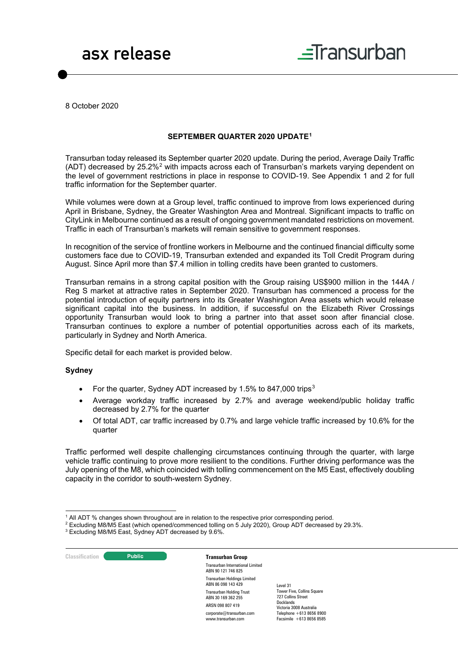



8 October 2020

#### **SEPTEMBER QUARTER 2020 UPDATE[1](#page-0-0)**

Transurban today released its September quarter 2020 update. During the period, Average Daily Traffic (ADT) decreased by 25.2%[2](#page-0-1) with impacts across each of Transurban's markets varying dependent on the level of government restrictions in place in response to COVID-19. See Appendix 1 and 2 for full traffic information for the September quarter.

While volumes were down at a Group level, traffic continued to improve from lows experienced during April in Brisbane, Sydney, the Greater Washington Area and Montreal. Significant impacts to traffic on CityLink in Melbourne continued as a result of ongoing government mandated restrictions on movement. Traffic in each of Transurban's markets will remain sensitive to government responses.

In recognition of the service of frontline workers in Melbourne and the continued financial difficulty some customers face due to COVID-19, Transurban extended and expanded its Toll Credit Program during August. Since April more than \$7.4 million in tolling credits have been granted to customers.

Transurban remains in a strong capital position with the Group raising US\$900 million in the 144A / Reg S market at attractive rates in September 2020. Transurban has commenced a process for the potential introduction of equity partners into its Greater Washington Area assets which would release significant capital into the business. In addition, if successful on the Elizabeth River Crossings opportunity Transurban would look to bring a partner into that asset soon after financial close. Transurban continues to explore a number of potential opportunities across each of its markets, particularly in Sydney and North America.

Specific detail for each market is provided below.

#### **Sydney**

- For the quarter, Sydney ADT increased by 1.5% to 847,000 trips<sup>[3](#page-0-2)</sup>
- Average workday traffic increased by 2.7% and average weekend/public holiday traffic decreased by 2.7% for the quarter
- Of total ADT, car traffic increased by 0.7% and large vehicle traffic increased by 10.6% for the quarter

Traffic performed well despite challenging circumstances continuing through the quarter, with large vehicle traffic continuing to prove more resilient to the conditions. Further driving performance was the July opening of the M8, which coincided with tolling commencement on the M5 East, effectively doubling capacity in the corridor to south-western Sydney.

**Classification Constitution Transurban Group** 

Transurban International Limited ABN 90 121 746 825 Transurban Holdings Limited ABN 86 098 143 429 Transurban Holding Trust ABN 30 169 362 255 ARSN 098 807 419 corporate@transurban.com www.transurban.com

<sup>1</sup> All ADT % changes shown throughout are in relation to the respective prior corresponding period.

<span id="page-0-2"></span><span id="page-0-1"></span><span id="page-0-0"></span><sup>2</sup> Excluding M8/M5 East (which opened/commenced tolling on 5 July 2020), Group ADT decreased by 29.3%.

<sup>3</sup> Excluding M8/M5 East, Sydney ADT decreased by 9.6%.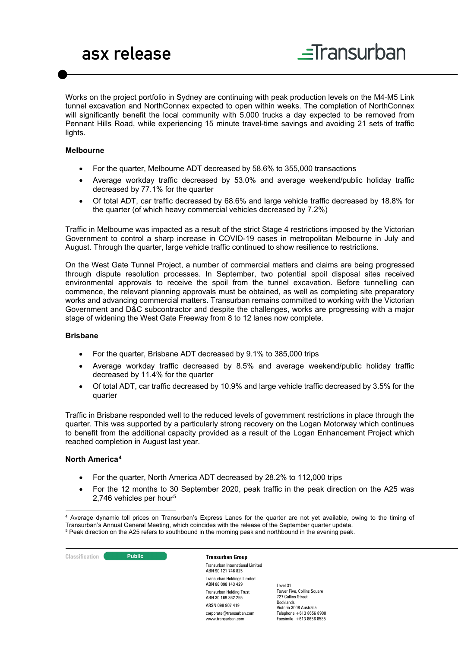Works on the project portfolio in Sydney are continuing with peak production levels on the M4-M5 Link tunnel excavation and NorthConnex expected to open within weeks. The completion of NorthConnex will significantly benefit the local community with 5,000 trucks a day expected to be removed from Pennant Hills Road, while experiencing 15 minute travel-time savings and avoiding 21 sets of traffic lights.

#### **Melbourne**

- For the quarter, Melbourne ADT decreased by 58.6% to 355,000 transactions
- Average workday traffic decreased by 53.0% and average weekend/public holiday traffic decreased by 77.1% for the quarter
- Of total ADT, car traffic decreased by 68.6% and large vehicle traffic decreased by 18.8% for the quarter (of which heavy commercial vehicles decreased by 7.2%)

Traffic in Melbourne was impacted as a result of the strict Stage 4 restrictions imposed by the Victorian Government to control a sharp increase in COVID-19 cases in metropolitan Melbourne in July and August. Through the quarter, large vehicle traffic continued to show resilience to restrictions.

On the West Gate Tunnel Project, a number of commercial matters and claims are being progressed through dispute resolution processes. In September, two potential spoil disposal sites received environmental approvals to receive the spoil from the tunnel excavation. Before tunnelling can commence, the relevant planning approvals must be obtained, as well as completing site preparatory works and advancing commercial matters. Transurban remains committed to working with the Victorian Government and D&C subcontractor and despite the challenges, works are progressing with a major stage of widening the West Gate Freeway from 8 to 12 lanes now complete.

### **Brisbane**

- For the quarter, Brisbane ADT decreased by 9.1% to 385,000 trips
- Average workday traffic decreased by 8.5% and average weekend/public holiday traffic decreased by 11.4% for the quarter
- Of total ADT, car traffic decreased by 10.9% and large vehicle traffic decreased by 3.5% for the quarter

Traffic in Brisbane responded well to the reduced levels of government restrictions in place through the quarter. This was supported by a particularly strong recovery on the Logan Motorway which continues to benefit from the additional capacity provided as a result of the Logan Enhancement Project which reached completion in August last year.

### **North America[4](#page-1-0)**

- For the quarter, North America ADT decreased by 28.2% to 112,000 trips
- For the 12 months to 30 September 2020, peak traffic in the peak direction on the A25 was 2,746 vehicles per hour<sup>[5](#page-1-1)</sup>

<span id="page-1-1"></span><span id="page-1-0"></span><sup>&</sup>lt;sup>5</sup> Peak direction on the A25 refers to southbound in the morning peak and northbound in the evening peak.



Transurban International Limited ABN 90 121 746 825 Transurban Holdings Limited ABN 86 098 143 429 Transurban Holding Trust ABN 30 169 362 255 ARSN 098 807 419 corporate@transurban.com www.transurban.com

<sup>4</sup> Average dynamic toll prices on Transurban's Express Lanes for the quarter are not yet available, owing to the timing of Transurban's Annual General Meeting, which coincides with the release of the September quarter update.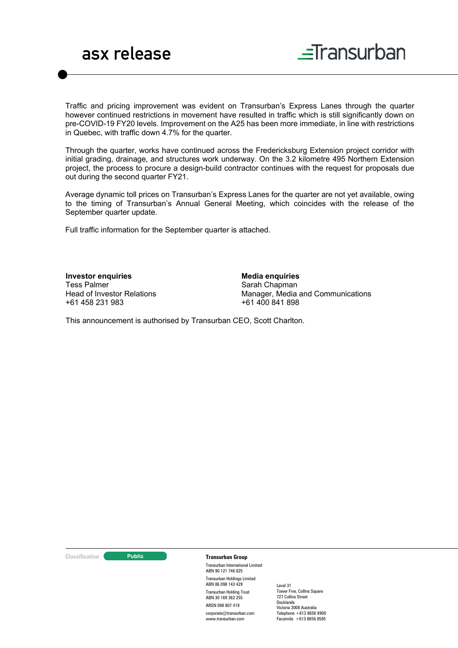

Traffic and pricing improvement was evident on Transurban's Express Lanes through the quarter however continued restrictions in movement have resulted in traffic which is still significantly down on pre-COVID-19 FY20 levels. Improvement on the A25 has been more immediate, in line with restrictions in Quebec, with traffic down 4.7% for the quarter.

Through the quarter, works have continued across the Fredericksburg Extension project corridor with initial grading, drainage, and structures work underway. On the 3.2 kilometre 495 Northern Extension project, the process to procure a design-build contractor continues with the request for proposals due out during the second quarter FY21.

Average dynamic toll prices on Transurban's Express Lanes for the quarter are not yet available, owing to the timing of Transurban's Annual General Meeting, which coincides with the release of the September quarter update.

Full traffic information for the September quarter is attached.

**Investor enquiries** Tess Palmer Head of Investor Relations +61 458 231 983

**Media enquiries** Sarah Chapman Manager, Media and Communications +61 400 841 898

This announcement is authorised by Transurban CEO, Scott Charlton.

**Classification Construction Transurban Group** 

Transurban International Limited ABN 90 121 746 825 Transurban Holdings Limited ABN 86 098 143 429 Transurban Holding Trust ABN 30 169 362 255 ARSN 098 807 419 corporate@transurban.com www.transurban.com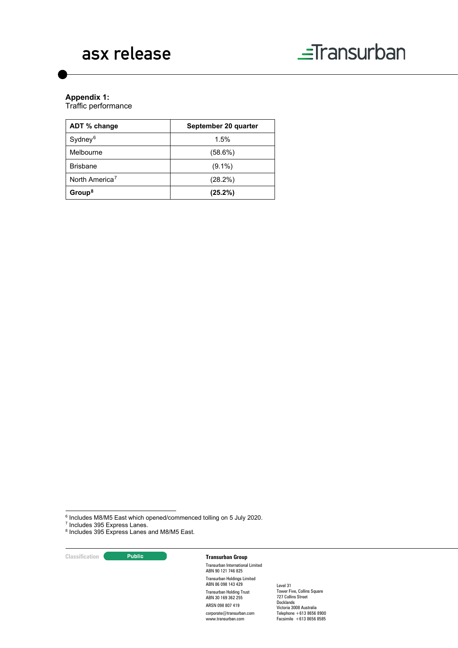# asx release



## **Appendix 1:**

Traffic performance

| ADT % change               | September 20 quarter |  |  |  |
|----------------------------|----------------------|--|--|--|
| Sydney <sup>6</sup>        | 1.5%                 |  |  |  |
| Melbourne                  | $(58.6\%)$           |  |  |  |
| <b>Brishane</b>            | $(9.1\%)$            |  |  |  |
| North America <sup>7</sup> | (28.2%)              |  |  |  |
| Group <sup>8</sup>         | (25.2%)              |  |  |  |

**Classification Transurban Group** 

Transurban International Limited ABN 90 121 746 825 Transurban Holdings Limited ABN 86 098 143 429 Transurban Holding Trust ABN 30 169 362 255 ARSN 098 807 419 corporate@transurban.com www.transurban.com

<span id="page-3-0"></span> $^6$  Includes M8/M5 East which opened/commenced tolling on 5 July 2020.<br><sup>7</sup> Includes 395 Express Lanes.

<span id="page-3-1"></span>

<span id="page-3-2"></span><sup>&</sup>lt;sup>8</sup> Includes 395 Express Lanes and M8/M5 East.